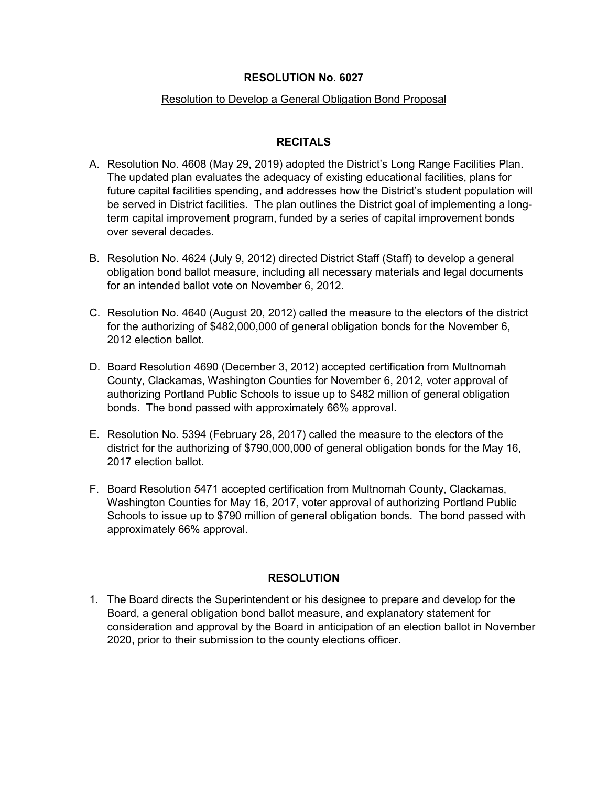#### **RESOLUTION No. 6027**

#### Resolution to Develop a General Obligation Bond Proposal

## **RECITALS**

- A. Resolution No. 4608 (May 29, 2019) adopted the District's Long Range Facilities Plan. The updated plan evaluates the adequacy of existing educational facilities, plans for future capital facilities spending, and addresses how the District's student population will be served in District facilities. The plan outlines the District goal of implementing a longterm capital improvement program, funded by a series of capital improvement bonds over several decades.
- B. Resolution No. 4624 (July 9, 2012) directed District Staff (Staff) to develop a general obligation bond ballot measure, including all necessary materials and legal documents for an intended ballot vote on November 6, 2012.
- C. Resolution No. 4640 (August 20, 2012) called the measure to the electors of the district for the authorizing of \$482,000,000 of general obligation bonds for the November 6, 2012 election ballot.
- D. Board Resolution 4690 (December 3, 2012) accepted certification from Multnomah County, Clackamas, Washington Counties for November 6, 2012, voter approval of authorizing Portland Public Schools to issue up to \$482 million of general obligation bonds. The bond passed with approximately 66% approval.
- E. Resolution No. 5394 (February 28, 2017) called the measure to the electors of the district for the authorizing of \$790,000,000 of general obligation bonds for the May 16, 2017 election ballot.
- F. Board Resolution 5471 accepted certification from Multnomah County, Clackamas, Washington Counties for May 16, 2017, voter approval of authorizing Portland Public Schools to issue up to \$790 million of general obligation bonds. The bond passed with approximately 66% approval.

### **RESOLUTION**

1. The Board directs the Superintendent or his designee to prepare and develop for the Board, a general obligation bond ballot measure, and explanatory statement for consideration and approval by the Board in anticipation of an election ballot in November 2020, prior to their submission to the county elections officer.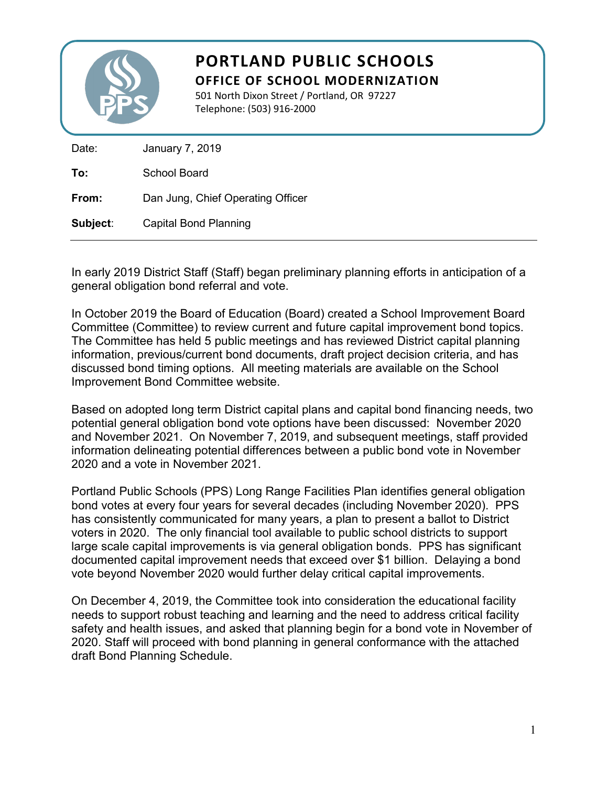

# **PORTLAND PUBLIC SCHOOLS OFFICE OF SCHOOL MODERNIZATION**

501 North Dixon Street / Portland, OR 97227 Telephone: (503) 916-2000

| Date:    | January 7, 2019                   |
|----------|-----------------------------------|
| To:      | <b>School Board</b>               |
| From:    | Dan Jung, Chief Operating Officer |
| Subject: | Capital Bond Planning             |

In early 2019 District Staff (Staff) began preliminary planning efforts in anticipation of a general obligation bond referral and vote.

In October 2019 the Board of Education (Board) created a School Improvement Board Committee (Committee) to review current and future capital improvement bond topics. The Committee has held 5 public meetings and has reviewed District capital planning information, previous/current bond documents, draft project decision criteria, and has discussed bond timing options. All meeting materials are available on the School Improvement Bond Committee website.

Based on adopted long term District capital plans and capital bond financing needs, two potential general obligation bond vote options have been discussed: November 2020 and November 2021. On November 7, 2019, and subsequent meetings, staff provided information delineating potential differences between a public bond vote in November 2020 and a vote in November 2021.

Portland Public Schools (PPS) Long Range Facilities Plan identifies general obligation bond votes at every four years for several decades (including November 2020). PPS has consistently communicated for many years, a plan to present a ballot to District voters in 2020. The only financial tool available to public school districts to support large scale capital improvements is via general obligation bonds. PPS has significant documented capital improvement needs that exceed over \$1 billion. Delaying a bond vote beyond November 2020 would further delay critical capital improvements.

On December 4, 2019, the Committee took into consideration the educational facility needs to support robust teaching and learning and the need to address critical facility safety and health issues, and asked that planning begin for a bond vote in November of 2020. Staff will proceed with bond planning in general conformance with the attached draft Bond Planning Schedule.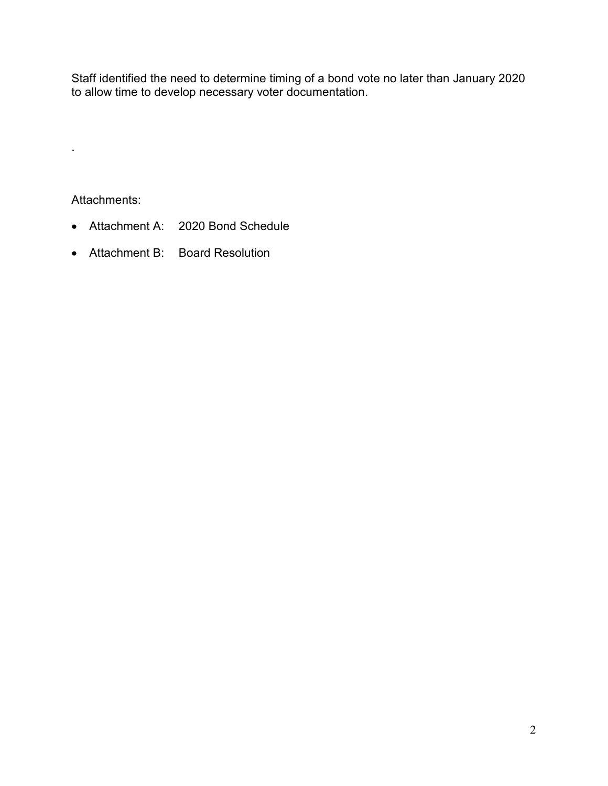Staff identified the need to determine timing of a bond vote no later than January 2020 to allow time to develop necessary voter documentation.

Attachments:

.

- Attachment A: 2020 Bond Schedule
- Attachment B: Board Resolution